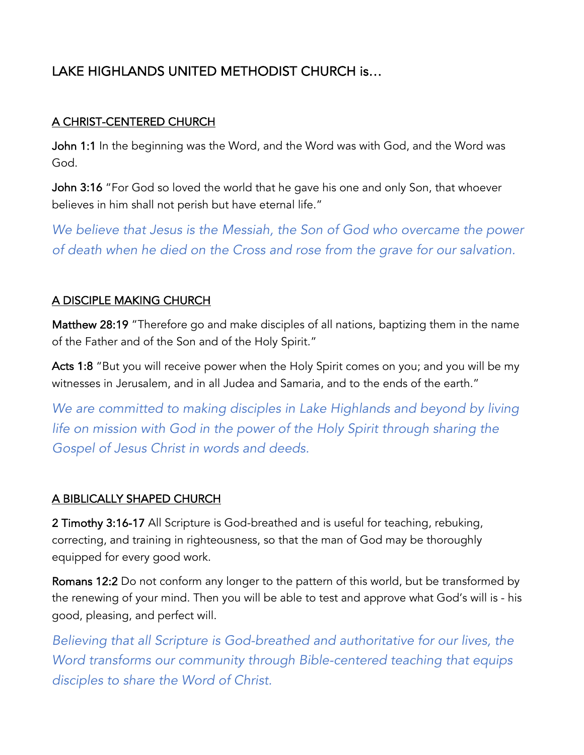# LAKE HIGHLANDS UNITED METHODIST CHURCH is…

# A CHRIST-CENTERED CHURCH

John 1:1 In the beginning was the Word, and the Word was with God, and the Word was God.

John 3:16 "For God so loved the world that he gave his one and only Son, that whoever believes in him shall not perish but have eternal life."

*We believe that Jesus is the Messiah, the Son of God who overcame the power of death when he died on the Cross and rose from the grave for our salvation.* 

#### A DISCIPLE MAKING CHURCH

Matthew 28:19 "Therefore go and make disciples of all nations, baptizing them in the name of the Father and of the Son and of the Holy Spirit."

Acts 1:8 "But you will receive power when the Holy Spirit comes on you; and you will be my witnesses in Jerusalem, and in all Judea and Samaria, and to the ends of the earth."

*We are committed to making disciples in Lake Highlands and beyond by living life on mission with God in the power of the Holy Spirit through sharing the Gospel of Jesus Christ in words and deeds.*

# A BIBLICALLY SHAPED CHURCH

2 Timothy 3:16-17 All Scripture is God-breathed and is useful for teaching, rebuking, correcting, and training in righteousness, so that the man of God may be thoroughly equipped for every good work.

Romans 12:2 Do not conform any longer to the pattern of this world, but be transformed by the renewing of your mind. Then you will be able to test and approve what God's will is - his good, pleasing, and perfect will.

*Believing that all Scripture is God-breathed and authoritative for our lives, the Word transforms our community through Bible-centered teaching that equips disciples to share the Word of Christ.*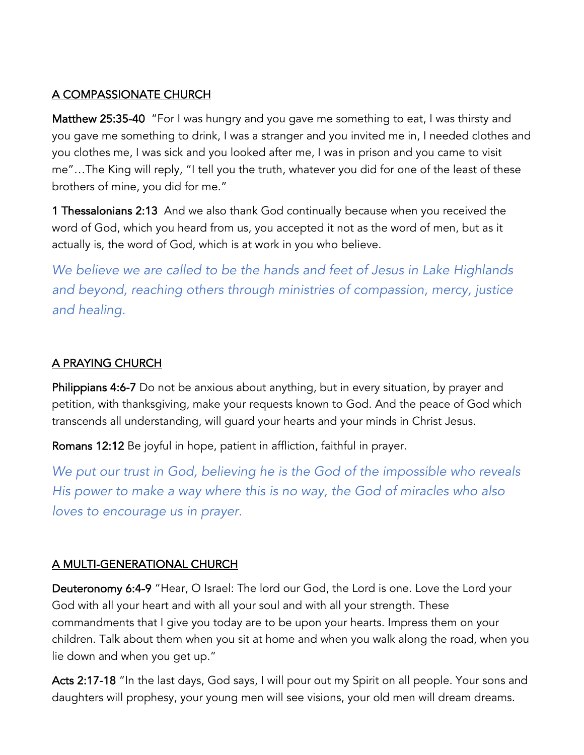#### A COMPASSIONATE CHURCH

Matthew 25:35-40 "For I was hungry and you gave me something to eat, I was thirsty and you gave me something to drink, I was a stranger and you invited me in, I needed clothes and you clothes me, I was sick and you looked after me, I was in prison and you came to visit me"…The King will reply, "I tell you the truth, whatever you did for one of the least of these brothers of mine, you did for me."

1 Thessalonians 2:13 And we also thank God continually because when you received the word of God, which you heard from us, you accepted it not as the word of men, but as it actually is, the word of God, which is at work in you who believe.

*We believe we are called to be the hands and feet of Jesus in Lake Highlands and beyond, reaching others through ministries of compassion, mercy, justice and healing.*

# A PRAYING CHURCH

Philippians 4:6-7 Do not be anxious about anything, but in every situation, by prayer and petition, with thanksgiving, make your requests known to God. And the peace of God which transcends all understanding, will guard your hearts and your minds in Christ Jesus.

Romans 12:12 Be joyful in hope, patient in affliction, faithful in prayer.

*We put our trust in God, believing he is the God of the impossible who reveals His power to make a way where this is no way, the God of miracles who also loves to encourage us in prayer.* 

# A MULTI-GENERATIONAL CHURCH

Deuteronomy 6:4-9 "Hear, O Israel: The lord our God, the Lord is one. Love the Lord your God with all your heart and with all your soul and with all your strength. These commandments that I give you today are to be upon your hearts. Impress them on your children. Talk about them when you sit at home and when you walk along the road, when you lie down and when you get up."

Acts 2:17-18 "In the last days, God says, I will pour out my Spirit on all people. Your sons and daughters will prophesy, your young men will see visions, your old men will dream dreams.